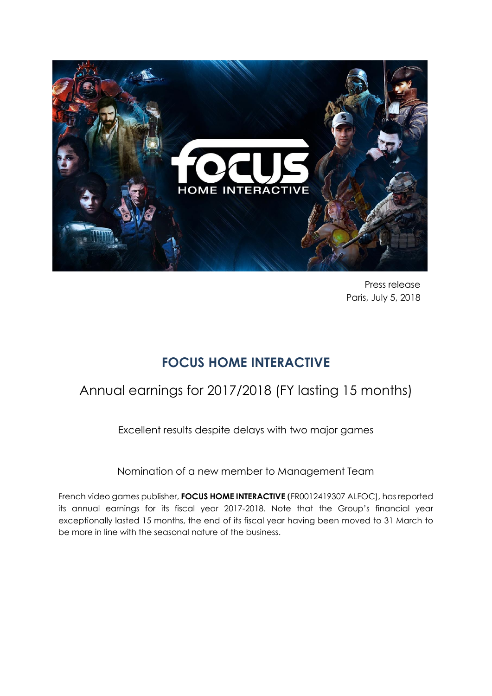

Press release Paris, July 5, 2018

# **FOCUS HOME INTERACTIVE**

# Annual earnings for 2017/2018 (FY lasting 15 months)

Excellent results despite delays with two major games

Nomination of a new member to Management Team

French video games publisher, **FOCUS HOME INTERACTIVE** (FR0012419307 ALFOC), has reported its annual earnings for its fiscal year 2017-2018. Note that the Group's financial year exceptionally lasted 15 months, the end of its fiscal year having been moved to 31 March to be more in line with the seasonal nature of the business.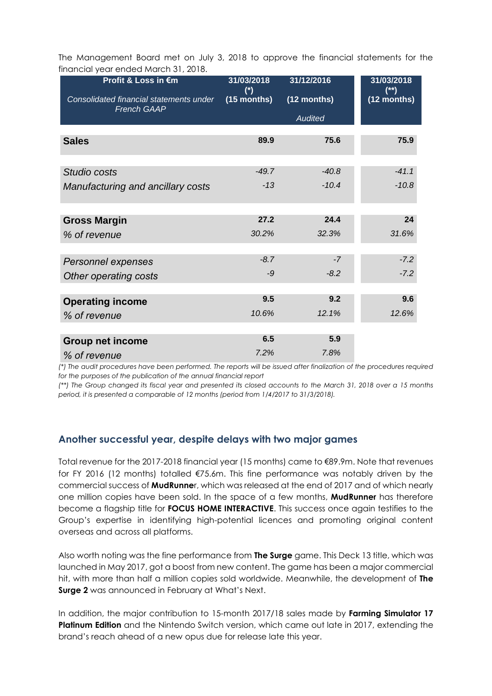The Management Board met on July 3, 2018 to approve the financial statements for the financial year ended March 31, 2018.

| Profit & Loss in €m                     | 31/03/2018    | 31/12/2016     | 31/03/2018    |
|-----------------------------------------|---------------|----------------|---------------|
| Consolidated financial statements under | $(*)$         | (12 months)    | $(**)$        |
| <b>French GAAP</b>                      | $(15$ months) | <b>Audited</b> | $(12$ months) |
| <b>Sales</b>                            | 89.9          | 75.6           | 75.9          |
| Studio costs                            | $-49.7$       | $-40.8$        | $-41.1$       |
| Manufacturing and ancillary costs       | $-13$         | $-10.4$        | $-10.8$       |
| <b>Gross Margin</b>                     | 27.2          | 24.4           | 24            |
| % of revenue                            | 30.2%         | 32.3%          | 31.6%         |
| Personnel expenses                      | $-8.7$        | $-7$           | $-7.2$        |
| Other operating costs                   | $-9$          | $-8.2$         | $-7.2$        |
| <b>Operating income</b>                 | 9.5           | 9.2            | 9.6           |
| % of revenue                            | 10.6%         | 12.1%          | 12.6%         |
| <b>Group net income</b>                 | 6.5           | 5.9            |               |
| % of revenue                            | 7.2%          | 7.8%           |               |

*(\*) The audit procedures have been performed. The reports will be issued after finalization of the procedures required for the purposes of the publication of the annual financial report*

*(\*\*) The Group changed its fiscal year and presented its closed accounts to the March 31, 2018 over a 15 months period, it is presented a comparable of 12 months (period from 1/4/2017 to 31/3/2018).*

#### **Another successful year, despite delays with two major games**

Total revenue for the 2017-2018 financial year (15 months) came to €89.9m. Note that revenues for FY 2016 (12 months) totalled €75.6m. This fine performance was notably driven by the commercial success of **MudRunne**r, which was released at the end of 2017 and of which nearly one million copies have been sold. In the space of a few months, **MudRunner** has therefore become a flagship title for **FOCUS HOME INTERACTIVE**. This success once again testifies to the Group's expertise in identifying high-potential licences and promoting original content overseas and across all platforms.

Also worth noting was the fine performance from **The Surge** game. This Deck 13 title, which was launched in May 2017, got a boost from new content. The game has been a major commercial hit, with more than half a million copies sold worldwide. Meanwhile, the development of **The Surge 2** was announced in February at What's Next.

In addition, the major contribution to 15-month 2017/18 sales made by **Farming Simulator 17 Platinum Edition** and the Nintendo Switch version, which came out late in 2017, extending the brand's reach ahead of a new opus due for release late this year.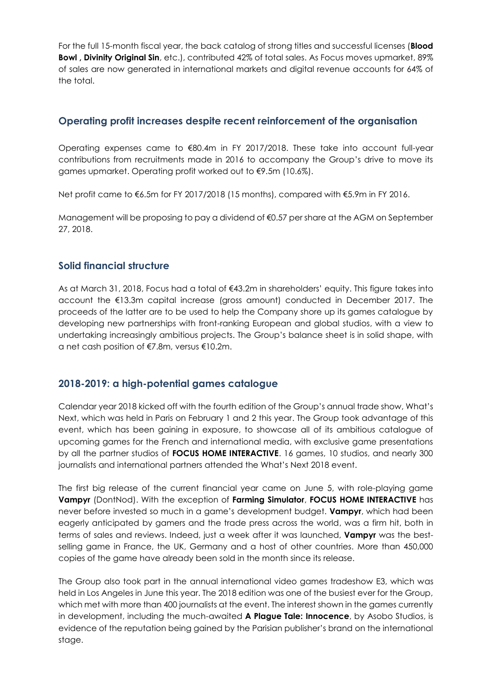For the full 15-month fiscal year, the back catalog of strong titles and successful licenses (**Blood Bowl , Divinity Original Sin**, etc.), contributed 42% of total sales. As Focus moves upmarket, 89% of sales are now generated in international markets and digital revenue accounts for 64% of the total.

### **Operating profit increases despite recent reinforcement of the organisation**

Operating expenses came to €80.4m in FY 2017/2018. These take into account full-year contributions from recruitments made in 2016 to accompany the Group's drive to move its games upmarket. Operating profit worked out to €9.5m (10.6%).

Net profit came to €6.5m for FY 2017/2018 (15 months), compared with €5.9m in FY 2016.

Management will be proposing to pay a dividend of €0.57 per share at the AGM on September 27, 2018.

## **Solid financial structure**

As at March 31, 2018, Focus had a total of €43.2m in shareholders' equity. This figure takes into account the €13.3m capital increase (gross amount) conducted in December 2017. The proceeds of the latter are to be used to help the Company shore up its games catalogue by developing new partnerships with front-ranking European and global studios, with a view to undertaking increasingly ambitious projects. The Group's balance sheet is in solid shape, with a net cash position of €7.8m, versus €10.2m.

## **2018-2019: a high-potential games catalogue**

Calendar year 2018 kicked off with the fourth edition of the Group's annual trade show, What's Next, which was held in Paris on February 1 and 2 this year. The Group took advantage of this event, which has been gaining in exposure, to showcase all of its ambitious catalogue of upcoming games for the French and international media, with exclusive game presentations by all the partner studios of **FOCUS HOME INTERACTIVE**. 16 games, 10 studios, and nearly 300 journalists and international partners attended the What's Next 2018 event.

The first big release of the current financial year came on June 5, with role-playing game **Vampyr** (DontNod). With the exception of **Farming Simulator**, **FOCUS HOME INTERACTIVE** has never before invested so much in a game's development budget. **Vampyr**, which had been eagerly anticipated by gamers and the trade press across the world, was a firm hit, both in terms of sales and reviews. Indeed, just a week after it was launched, **Vampyr** was the bestselling game in France, the UK, Germany and a host of other countries. More than 450,000 copies of the game have already been sold in the month since its release.

The Group also took part in the annual international video games tradeshow E3, which was held in Los Angeles in June this year. The 2018 edition was one of the busiest ever for the Group, which met with more than 400 journalists at the event. The interest shown in the games currently in development, including the much-awaited **A Plague Tale: Innocence**, by Asobo Studios, is evidence of the reputation being gained by the Parisian publisher's brand on the international stage.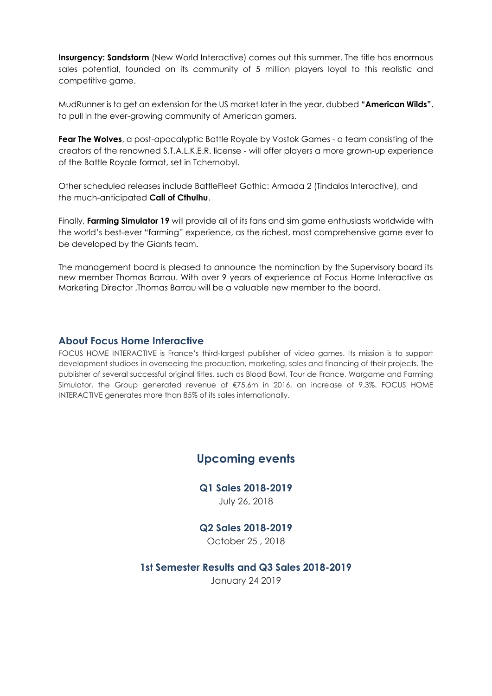**Insurgency: Sandstorm** (New World Interactive) comes out this summer. The title has enormous sales potential, founded on its community of 5 million players loyal to this realistic and competitive game.

MudRunner is to get an extension for the US market later in the year, dubbed **"American Wilds"**, to pull in the ever-growing community of American gamers.

**Fear The Wolves**, a post-apocalyptic Battle Royale by Vostok Games - a team consisting of the creators of the renowned S.T.A.L.K.E.R. license - will offer players a more grown-up experience of the Battle Royale format, set in Tchernobyl.

Other scheduled releases include BattleFleet Gothic: Armada 2 (Tindalos Interactive), and the much-anticipated **Call of Cthulhu**.

Finally, **Farming Simulator 19** will provide all of its fans and sim game enthusiasts worldwide with the world's best-ever "farming" experience, as the richest, most comprehensive game ever to be developed by the Giants team.

The management board is pleased to announce the nomination by the Supervisory board its new member Thomas Barrau. With over 9 years of experience at Focus Home Interactive as Marketing Director ,Thomas Barrau will be a valuable new member to the board.

#### **About Focus Home Interactive**

FOCUS HOME INTERACTIVE is France's third-largest publisher of video games. Its mission is to support development studioes in overseeing the production, marketing, sales and financing of their projects. The publisher of several successful original titles, such as Blood Bowl, Tour de France, Wargame and Farming Simulator, the Group generated revenue of €75.6m in 2016, an increase of 9.3%. FOCUS HOME INTERACTIVE generates more than 85% of its sales internationally.

## **Upcoming events**

**Q1 Sales 2018-2019** July 26, 2018

#### **Q2 Sales 2018-2019**

October 25 , 2018

**1st Semester Results and Q3 Sales 2018-2019** January 24 2019